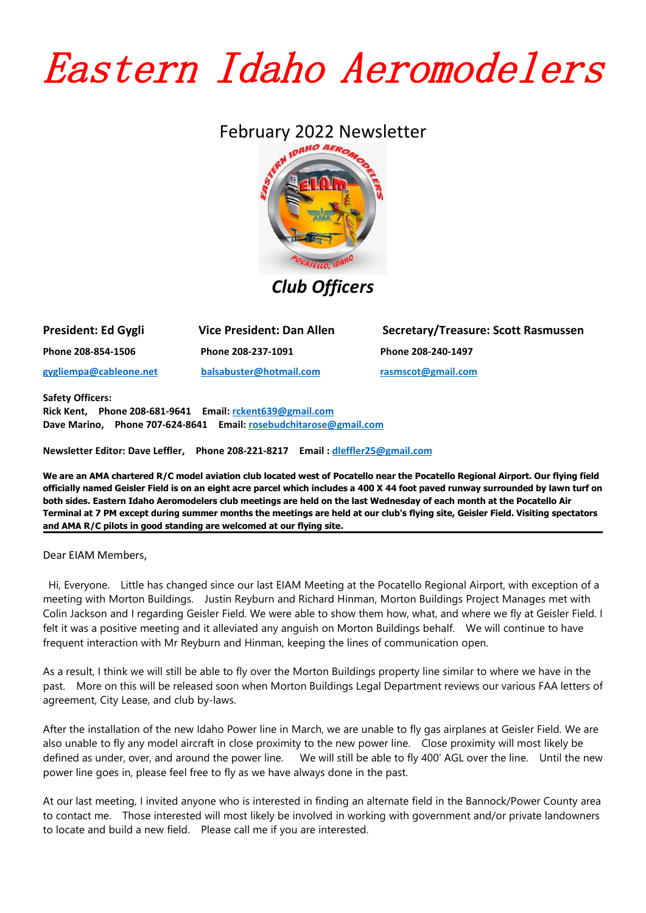## Eastern Idaho Aeromodelers

## February 2022 Newsletter



*Club Officers*

| <b>President: Ed Gygli</b> | Vice President: Dan Allen |
|----------------------------|---------------------------|
| Phone 208-854-1506         | Phone 208-237-1091        |
| gygliempa@cableone.net     | balsabuster@hotmail.com   |

**President: Ed Gygli Vice President: Dan Allen Secretary/Treasure: Scott Rasmussen Phone 208-854-1506 Phone 208-237-1091 Phone 208-240-1497 [gygliempa@cableone.net](mailto:gygliempa@cableone.net) [balsabuster@hotmail.com](mailto:balsabuster@hotmail.com) [rasmscot@gmail.com](mailto:rasmscot@gmail.com)**

**Safety Officers:**

**Rick Kent, Phone 208-681-9641 Email: [rckent639@gmail.com](mailto:rckent639@gmail.com) Dave Marino, Phone 707-624-8641 Email: [rosebudchitarose@gmail.com](mailto:colijackson@cableone.net)**

**Newsletter Editor: Dave Leffler, Phone 208-221-8217 Email : [dleffler25@gmail.com](mailto:dleffler25@gmail.com)**

We are an AMA chartered R/C model aviation club located west of Pocatello near the Pocatello Regional Airport. Our flying field officially named Geisler Field is on an eight acre parcel which includes a 400 X 44 foot paved runway surrounded by lawn turf on both sides. Eastern Idaho Aeromodelers club meetings are held on the last Wednesday of each month at the Pocatello Air Terminal at 7 PM except during summer months the meetings are held at our club's flying site, Geisler Field. Visiting spectators **and AMA R/C pilots in good standing are welcomed at our flying site.**

Dear EIAM Members,

Hi, Everyone. Little has changed since our last EIAM Meeting at the Pocatello Regional Airport, with exception of a meeting with Morton Buildings. Justin Reyburn and Richard Hinman, Morton Buildings Project Manages met with Colin Jackson and I regarding Geisler Field.We were able to show them how, what, and where we fly at Geisler Field. I felt it was a positive meeting and it alleviated any anguish on Morton Buildings behalf. We will continue to have frequent interaction with Mr Reyburn and Hinman, keeping the lines of communication open.

As a result, I think we will still be able to fly over the Morton Buildings property line similar to where we have in the past. More on this will be released soon when Morton Buildings Legal Department reviews our various FAA letters of agreement, City Lease, and club by-laws.

After the installation of the new Idaho Power line in March, we are unable to fly gas airplanes at Geisler Field. We are also unable to fly any model aircraft in close proximity to the new power line. Close proximity will most likely be defined as under, over, and around the power line. We will still be able to fly 400' AGL over the line. Until the new power line goes in, please feel free to fly as we have always done in the past.

At our last meeting, I invited anyone who is interested in finding an alternate field in the Bannock/Power County area to contact me. Those interested will most likely be involved in working with government and/or private landowners to locate and build a new field. Please call me if you are interested.